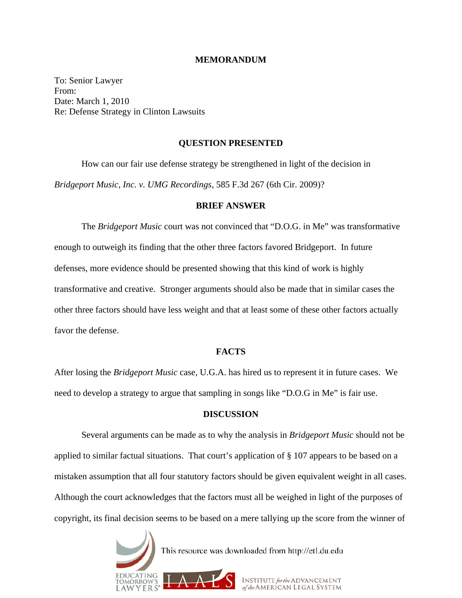#### **MEMORANDUM**

To: Senior Lawyer From: Date: March 1, 2010 Re: Defense Strategy in Clinton Lawsuits

## **QUESTION PRESENTED**

How can our fair use defense strategy be strengthened in light of the decision in *Bridgeport Music, Inc. v. UMG Recordings*, 585 F.3d 267 (6th Cir. 2009)?

## **BRIEF ANSWER**

The *Bridgeport Music* court was not convinced that "D.O.G. in Me" was transformative enough to outweigh its finding that the other three factors favored Bridgeport. In future defenses, more evidence should be presented showing that this kind of work is highly transformative and creative. Stronger arguments should also be made that in similar cases the other three factors should have less weight and that at least some of these other factors actually favor the defense.

## **FACTS**

After losing the *Bridgeport Music* case, U.G.A. has hired us to represent it in future cases. We need to develop a strategy to argue that sampling in songs like "D.O.G in Me" is fair use.

# **DISCUSSION**

Several arguments can be made as to why the analysis in *Bridgeport Music* should not be applied to similar factual situations. That court's application of § 107 appears to be based on a mistaken assumption that all four statutory factors should be given equivalent weight in all cases. Although the court acknowledges that the factors must all be weighed in light of the purposes of copyright, its final decision seems to be based on a mere tallying up the score from the winner of

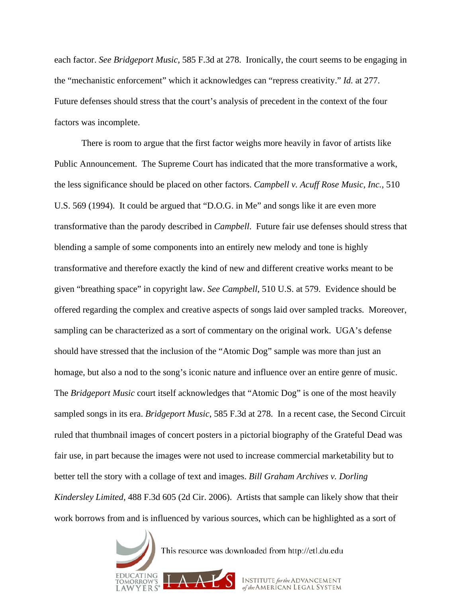each factor. *See Bridgeport Music*, 585 F.3d at 278. Ironically, the court seems to be engaging in the "mechanistic enforcement" which it acknowledges can "repress creativity." *Id.* at 277. Future defenses should stress that the court's analysis of precedent in the context of the four factors was incomplete.

There is room to argue that the first factor weighs more heavily in favor of artists like Public Announcement. The Supreme Court has indicated that the more transformative a work, the less significance should be placed on other factors. *Campbell v. Acuff Rose Music, Inc.*, 510 U.S. 569 (1994). It could be argued that "D.O.G. in Me" and songs like it are even more transformative than the parody described in *Campbell*. Future fair use defenses should stress that blending a sample of some components into an entirely new melody and tone is highly transformative and therefore exactly the kind of new and different creative works meant to be given "breathing space" in copyright law. *See Campbell*, 510 U.S. at 579. Evidence should be offered regarding the complex and creative aspects of songs laid over sampled tracks. Moreover, sampling can be characterized as a sort of commentary on the original work. UGA's defense should have stressed that the inclusion of the "Atomic Dog" sample was more than just an homage, but also a nod to the song's iconic nature and influence over an entire genre of music. The *Bridgeport Music* court itself acknowledges that "Atomic Dog" is one of the most heavily sampled songs in its era. *Bridgeport Music*, 585 F.3d at 278. In a recent case, the Second Circuit ruled that thumbnail images of concert posters in a pictorial biography of the Grateful Dead was fair use, in part because the images were not used to increase commercial marketability but to better tell the story with a collage of text and images. *Bill Graham Archives v. Dorling Kindersley Limited*, 488 F.3d 605 (2d Cir. 2006). Artists that sample can likely show that their work borrows from and is influenced by various sources, which can be highlighted as a sort of

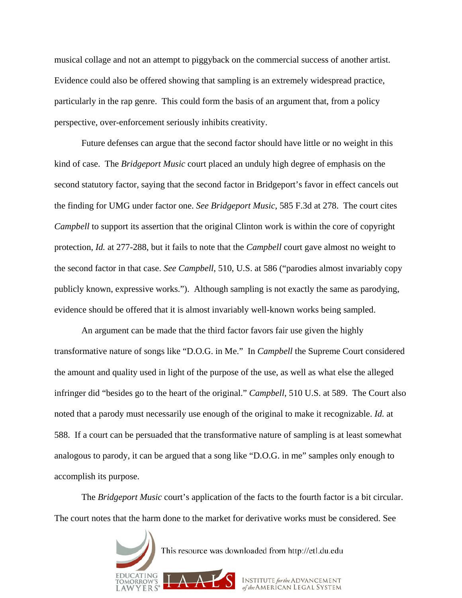musical collage and not an attempt to piggyback on the commercial success of another artist. Evidence could also be offered showing that sampling is an extremely widespread practice, particularly in the rap genre. This could form the basis of an argument that, from a policy perspective, over-enforcement seriously inhibits creativity.

Future defenses can argue that the second factor should have little or no weight in this kind of case. The *Bridgeport Music* court placed an unduly high degree of emphasis on the second statutory factor, saying that the second factor in Bridgeport's favor in effect cancels out the finding for UMG under factor one. *See Bridgeport Music*, 585 F.3d at 278. The court cites *Campbell* to support its assertion that the original Clinton work is within the core of copyright protection, *Id.* at 277-288, but it fails to note that the *Campbell* court gave almost no weight to the second factor in that case. *See Campbell*, 510, U.S. at 586 ("parodies almost invariably copy publicly known, expressive works."). Although sampling is not exactly the same as parodying, evidence should be offered that it is almost invariably well-known works being sampled.

An argument can be made that the third factor favors fair use given the highly transformative nature of songs like "D.O.G. in Me." In *Campbell* the Supreme Court considered the amount and quality used in light of the purpose of the use, as well as what else the alleged infringer did "besides go to the heart of the original." *Campbell*, 510 U.S. at 589. The Court also noted that a parody must necessarily use enough of the original to make it recognizable. *Id.* at 588. If a court can be persuaded that the transformative nature of sampling is at least somewhat analogous to parody, it can be argued that a song like "D.O.G. in me" samples only enough to accomplish its purpose.

The *Bridgeport Music* court's application of the facts to the fourth factor is a bit circular. The court notes that the harm done to the market for derivative works must be considered. See